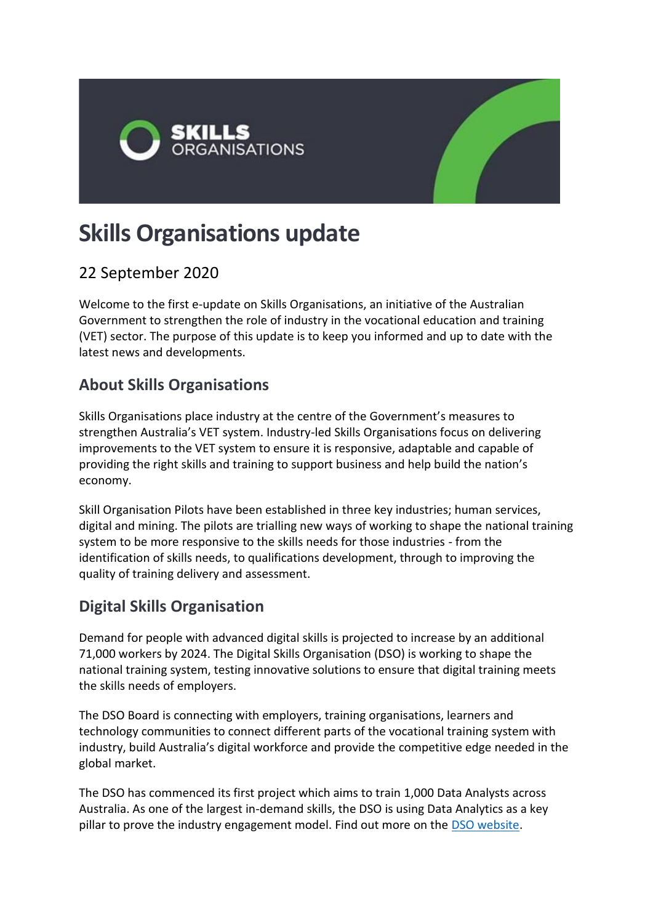

# **Skills Organisations update**

# 22 September 2020

Welcome to the first e-update on Skills Organisations, an initiative of the Australian Government to strengthen the role of industry in the vocational education and training (VET) sector. The purpose of this update is to keep you informed and up to date with the latest news and developments.

## **About Skills Organisations**

Skills Organisations place industry at the centre of the Government's measures to strengthen Australia's VET system. Industry-led Skills Organisations focus on delivering improvements to the VET system to ensure it is responsive, adaptable and capable of providing the right skills and training to support business and help build the nation's economy.

Skill Organisation Pilots have been established in three key industries; human services, digital and mining. The pilots are trialling new ways of working to shape the national training system to be more responsive to the skills needs for those industries - from the identification of skills needs, to qualifications development, through to improving the quality of training delivery and assessment.

## **Digital Skills Organisation**

Demand for people with advanced digital skills is projected to increase by an additional 71,000 workers by 2024. The Digital Skills Organisation (DSO) is working to shape the national training system, testing innovative solutions to ensure that digital training meets the skills needs of employers.

The DSO Board is connecting with employers, training organisations, learners and technology communities to connect different parts of the vocational training system with industry, build Australia's digital workforce and provide the competitive edge needed in the global market.

The DSO has commenced its first project which aims to train 1,000 Data Analysts across Australia. As one of the largest in-demand skills, the DSO is using Data Analytics as a key pillar to prove the industry engagement model. Find out more on the [DSO website.](https://digitalskillsorg.com.au/)